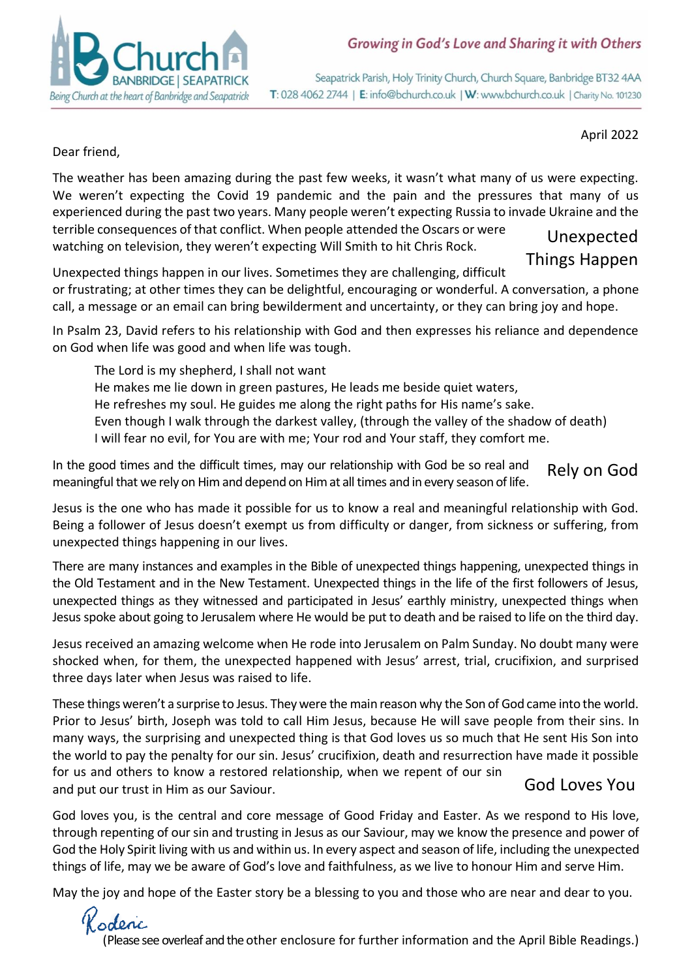

Seapatrick Parish, Holy Trinity Church, Church Square, Banbridge BT32 4AA T: 028 4062 2744 | E: info@bchurch.co.uk | W: www.bchurch.co.uk | Charity No. 101230

April 2022

Dear friend,

The weather has been amazing during the past few weeks, it wasn't what many of us were expecting. We weren't expecting the Covid 19 pandemic and the pain and the pressures that many of us experienced during the past two years. Many people weren't expecting Russia to invade Ukraine and the terrible consequences of that conflict. When people attended the Oscars or were watching on television, they weren't expecting Will Smith to hit Chris Rock. Unexpected Things Happen

Unexpected things happen in our lives. Sometimes they are challenging, difficult or frustrating; at other times they can be delightful, encouraging or wonderful. A conversation, a phone call, a message or an email can bring bewilderment and uncertainty, or they can bring joy and hope.

In Psalm 23, David refers to his relationship with God and then expresses his reliance and dependence on God when life was good and when life was tough.

The Lord is my shepherd, I shall not want He makes me lie down in green pastures, He leads me beside quiet waters, He refreshes my soul. He guides me along the right paths for His name's sake. Even though I walk through the darkest valley, (through the valley of the shadow of death) I will fear no evil, for You are with me; Your rod and Your staff, they comfort me.

In the good times and the difficult times, may our relationship with God be so real and meaningful that we rely on Him and depend on Him at all times and in every season of life. Rely on God

Jesus is the one who has made it possible for us to know a real and meaningful relationship with God. Being a follower of Jesus doesn't exempt us from difficulty or danger, from sickness or suffering, from unexpected things happening in our lives.

There are many instances and examples in the Bible of unexpected things happening, unexpected things in the Old Testament and in the New Testament. Unexpected things in the life of the first followers of Jesus, unexpected things as they witnessed and participated in Jesus' earthly ministry, unexpected things when Jesus spoke about going to Jerusalem where He would be put to death and be raised to life on the third day.

Jesus received an amazing welcome when He rode into Jerusalem on Palm Sunday. No doubt many were shocked when, for them, the unexpected happened with Jesus' arrest, trial, crucifixion, and surprised three days later when Jesus was raised to life.

These things weren't a surprise to Jesus. They were the main reason why the Son of God came into the world. Prior to Jesus' birth, Joseph was told to call Him Jesus, because He will save people from their sins. In many ways, the surprising and unexpected thing is that God loves us so much that He sent His Son into the world to pay the penalty for our sin. Jesus' crucifixion, death and resurrection have made it possible for us and others to know a restored relationship, when we repent of our sin and put our trust in Him as our Saviour. God Loves You

God loves you, is the central and core message of Good Friday and Easter. As we respond to His love, through repenting of our sin and trusting in Jesus as our Saviour, may we know the presence and power of God the Holy Spirit living with us and within us. In every aspect and season of life, including the unexpected things of life, may we be aware of God's love and faithfulness, as we live to honour Him and serve Him.

May the joy and hope of the Easter story be a blessing to you and those who are near and dear to you.

Codenc (Please see overleaf and the other enclosure for further information and the April Bible Readings.)